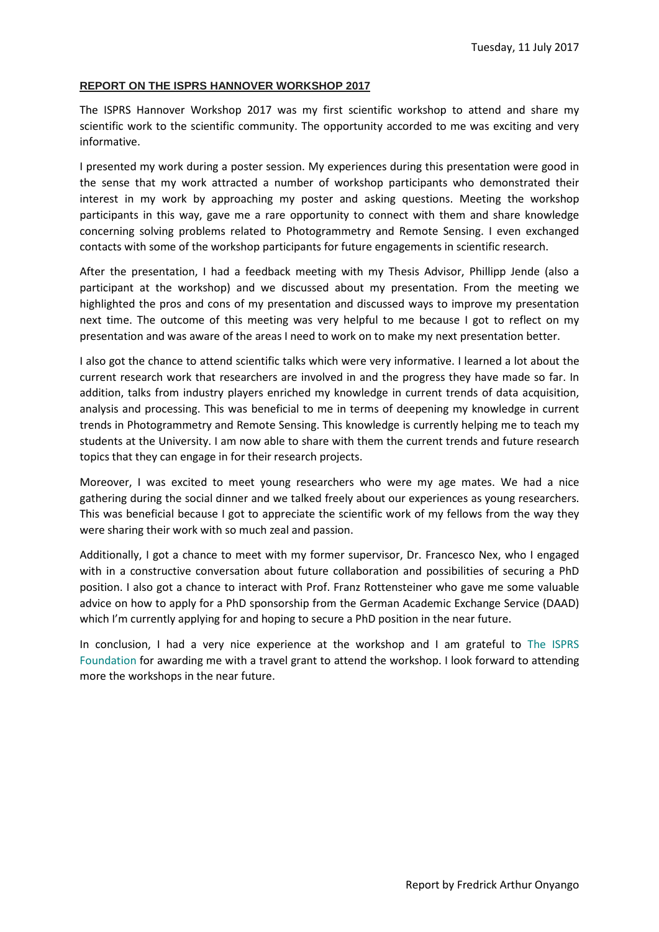## **REPORT ON THE ISPRS HANNOVER WORKSHOP 2017**

The ISPRS Hannover Workshop 2017 was my first scientific workshop to attend and share my scientific work to the scientific community. The opportunity accorded to me was exciting and very informative.

I presented my work during a poster session. My experiences during this presentation were good in the sense that my work attracted a number of workshop participants who demonstrated their interest in my work by approaching my poster and asking questions. Meeting the workshop participants in this way, gave me a rare opportunity to connect with them and share knowledge concerning solving problems related to Photogrammetry and Remote Sensing. I even exchanged contacts with some of the workshop participants for future engagements in scientific research.

After the presentation, I had a feedback meeting with my Thesis Advisor, Phillipp Jende (also a participant at the workshop) and we discussed about my presentation. From the meeting we highlighted the pros and cons of my presentation and discussed ways to improve my presentation next time. The outcome of this meeting was very helpful to me because I got to reflect on my presentation and was aware of the areas I need to work on to make my next presentation better.

I also got the chance to attend scientific talks which were very informative. I learned a lot about the current research work that researchers are involved in and the progress they have made so far. In addition, talks from industry players enriched my knowledge in current trends of data acquisition, analysis and processing. This was beneficial to me in terms of deepening my knowledge in current trends in Photogrammetry and Remote Sensing. This knowledge is currently helping me to teach my students at the University. I am now able to share with them the current trends and future research topics that they can engage in for their research projects.

Moreover, I was excited to meet young researchers who were my age mates. We had a nice gathering during the social dinner and we talked freely about our experiences as young researchers. This was beneficial because I got to appreciate the scientific work of my fellows from the way they were sharing their work with so much zeal and passion.

Additionally, I got a chance to meet with my former supervisor, Dr. Francesco Nex, who I engaged with in a constructive conversation about future collaboration and possibilities of securing a PhD position. I also got a chance to interact with Prof. Franz Rottensteiner who gave me some valuable advice on how to apply for a PhD sponsorship from the German Academic Exchange Service (DAAD) which I'm currently applying for and hoping to secure a PhD position in the near future.

In conclusion, I had a very nice experience at the workshop and I am grateful to The ISPRS Foundation for awarding me with a travel grant to attend the workshop. I look forward to attending more the workshops in the near future.